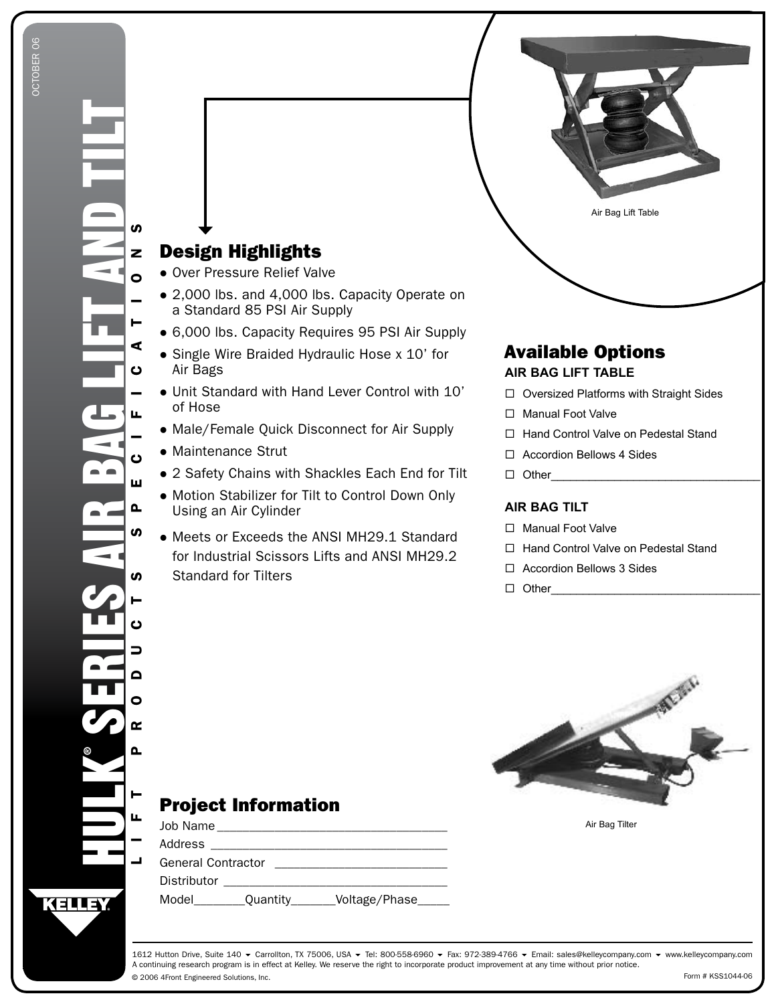

# Available Options

## **AIR BAG LIFT TABLE**

- □ Oversized Platforms with Straight Sides
- □ Manual Foot Valve
- □ Hand Control Valve on Pedestal Stand
- □ Accordion Bellows 4 Sides
- Other\_\_\_\_\_\_\_\_\_\_\_\_\_\_\_\_\_\_\_\_\_\_\_\_\_\_\_\_\_\_\_\_\_

#### **AIR BAG TILT**

- □ Manual Foot Valve
- □ Hand Control Valve on Pedestal Stand
- □ Accordion Bellows 3 Sides
- Other\_\_\_\_\_\_\_\_\_\_\_\_\_\_\_\_\_\_\_\_\_\_\_\_\_\_\_\_\_\_\_\_\_



Air Bag Tilter

# Project Information

Design Highlights Over Pressure Relief Valve

Air Bags

of Hose

Maintenance Strut

Using an Air Cylinder

Standard for Tilters

a Standard 85 PSI Air Supply

Single Wire Braided Hydraulic Hose x 10' for

Unit Standard with Hand Lever Control with 10'

Male/Female Quick Disconnect for Air Supply

2 Safety Chains with Shackles Each End for Tilt Motion Stabilizer for Tilt to Control Down Only

Meets or Exceeds the ANSI MH29.1 Standard for Industrial Scissors Lifts and ANSI MH29.2

| Job Name                  |                 |                |  |  |  |  |  |
|---------------------------|-----------------|----------------|--|--|--|--|--|
| Address                   |                 |                |  |  |  |  |  |
| <b>General Contractor</b> |                 |                |  |  |  |  |  |
| Distributor               |                 |                |  |  |  |  |  |
| Model                     | <b>Quantity</b> | Voltage/Phase_ |  |  |  |  |  |

© 2006 4Front Engineered Solutions, Inc. 1612 Hutton Drive, Suite 140 ▼ Carrollton, TX 75006, USA ▼ Tel: 800-558-6960 ▼ Fax: 972-389-4766 ▼ Email: sales@kelleycompany.com ▼ www.kelleycompany.com A continuing research program is in effect at Kelley. We reserve the right to incorporate product improvement at any time without prior notice. Form # KSS1044-06